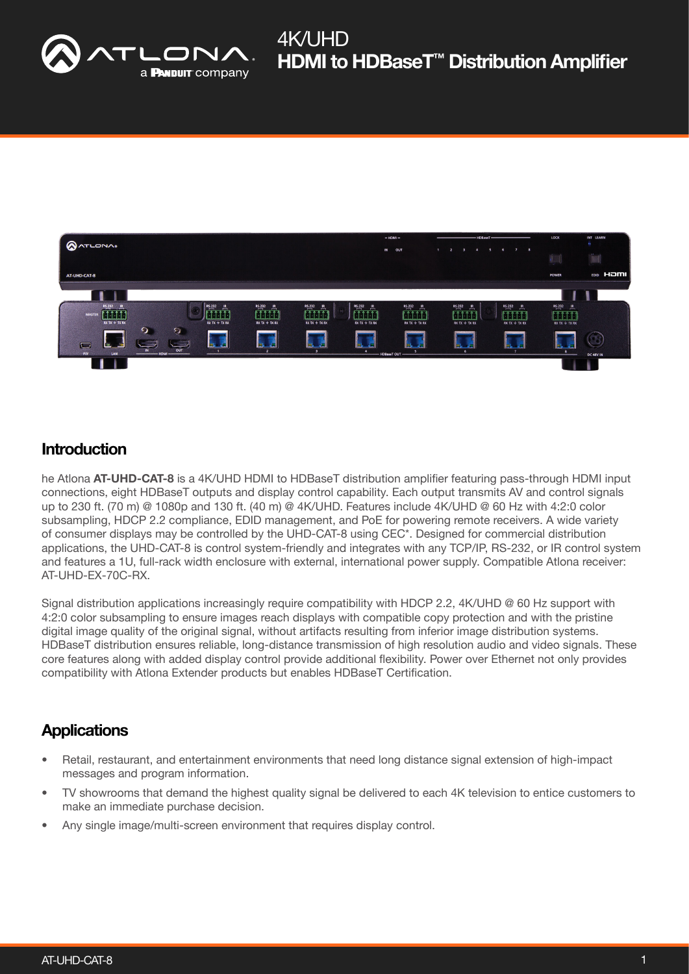



### **Introduction**

he Atlona **AT-UHD-CAT-8** is a 4K/UHD HDMI to HDBaseT distribution amplifier featuring pass-through HDMI input connections, eight HDBaseT outputs and display control capability. Each output transmits AV and control signals up to 230 ft. (70 m) @ 1080p and 130 ft. (40 m) @ 4K/UHD. Features include 4K/UHD @ 60 Hz with 4:2:0 color subsampling, HDCP 2.2 compliance, EDID management, and PoE for powering remote receivers. A wide variety of consumer displays may be controlled by the UHD-CAT-8 using CEC\*. Designed for commercial distribution applications, the UHD-CAT-8 is control system-friendly and integrates with any TCP/IP, RS-232, or IR control system and features a 1U, full-rack width enclosure with external, international power supply. Compatible Atlona receiver: AT-UHD-EX-70C-RX.

Signal distribution applications increasingly require compatibility with HDCP 2.2, 4K/UHD @ 60 Hz support with 4:2:0 color subsampling to ensure images reach displays with compatible copy protection and with the pristine digital image quality of the original signal, without artifacts resulting from inferior image distribution systems. HDBaseT distribution ensures reliable, long-distance transmission of high resolution audio and video signals. These core features along with added display control provide additional flexibility. Power over Ethernet not only provides compatibility with Atlona Extender products but enables HDBaseT Certification.

## **Applications**

- Retail, restaurant, and entertainment environments that need long distance signal extension of high-impact messages and program information.
- TV showrooms that demand the highest quality signal be delivered to each 4K television to entice customers to make an immediate purchase decision.
- Any single image/multi-screen environment that requires display control.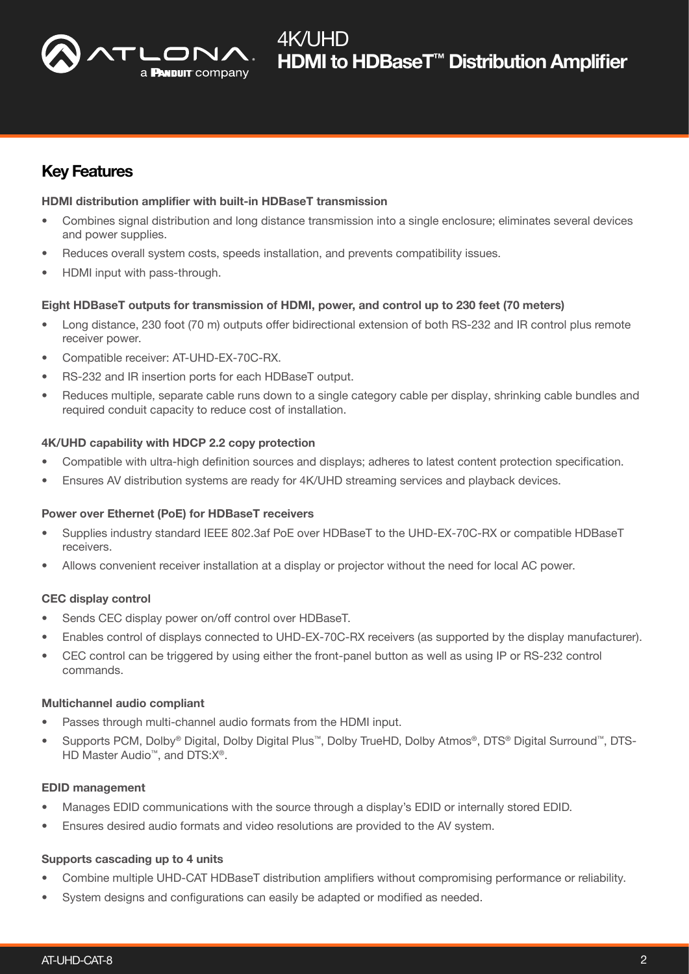

## Key Features

#### HDMI distribution amplifier with built-in HDBaseT transmission

- Combines signal distribution and long distance transmission into a single enclosure; eliminates several devices and power supplies.
- Reduces overall system costs, speeds installation, and prevents compatibility issues.
- HDMI input with pass-through.

#### Eight HDBaseT outputs for transmission of HDMI, power, and control up to 230 feet (70 meters)

- Long distance, 230 foot (70 m) outputs offer bidirectional extension of both RS-232 and IR control plus remote receiver power.
- Compatible receiver: AT-UHD-EX-70C-RX.
- RS-232 and IR insertion ports for each HDBaseT output.
- Reduces multiple, separate cable runs down to a single category cable per display, shrinking cable bundles and required conduit capacity to reduce cost of installation.

#### 4K/UHD capability with HDCP 2.2 copy protection

- Compatible with ultra-high definition sources and displays; adheres to latest content protection specification.
- Ensures AV distribution systems are ready for 4K/UHD streaming services and playback devices.

#### Power over Ethernet (PoE) for HDBaseT receivers

- Supplies industry standard IEEE 802.3af PoE over HDBaseT to the UHD-EX-70C-RX or compatible HDBaseT receivers.
- Allows convenient receiver installation at a display or projector without the need for local AC power.

#### CEC display control

- Sends CEC display power on/off control over HDBaseT.
- Enables control of displays connected to UHD-EX-70C-RX receivers (as supported by the display manufacturer).
- CEC control can be triggered by using either the front-panel button as well as using IP or RS-232 control commands.

#### Multichannel audio compliant

- Passes through multi-channel audio formats from the HDMI input.
- Supports PCM, Dolby® Digital, Dolby Digital Plus™, Dolby TrueHD, Dolby Atmos®, DTS® Digital Surround™, DTS-HD Master Audio<sup>™</sup>, and DTS:X<sup>®</sup>.

#### EDID management

- Manages EDID communications with the source through a display's EDID or internally stored EDID.
- Ensures desired audio formats and video resolutions are provided to the AV system.

#### Supports cascading up to 4 units

- Combine multiple UHD-CAT HDBaseT distribution amplifiers without compromising performance or reliability.
- System designs and configurations can easily be adapted or modified as needed.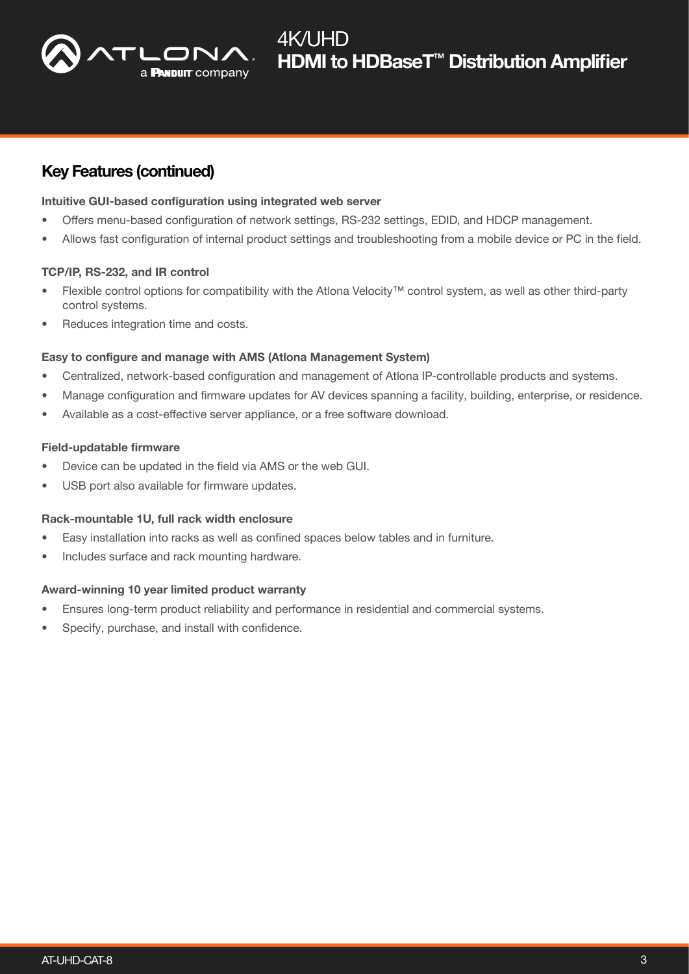

### Key Features (continued)

#### Intuitive GUI-based configuration using integrated web server

- Offers menu-based configuration of network settings, RS-232 settings, EDID, and HDCP management.
- Allows fast configuration of internal product settings and troubleshooting from a mobile device or PC in the field.

#### TCP/IP, RS-232, and IR control

- Flexible control options for compatibility with the Atlona Velocity™ control system, as well as other third-party control systems.
- Reduces integration time and costs.

#### Easy to configure and manage with AMS (Atlona Management System)

- Centralized, network-based configuration and management of Atlona IP-controllable products and systems.
- Manage configuration and firmware updates for AV devices spanning a facility, building, enterprise, or residence.
- Available as a cost-effective server appliance, or a free software download.

#### Field-updatable firmware

- Device can be updated in the field via AMS or the web GUI.
- USB port also available for firmware updates.

#### Rack-mountable 1U, full rack width enclosure

- Easy installation into racks as well as confined spaces below tables and in furniture.
- Includes surface and rack mounting hardware.

#### Award-winning 10 year limited product warranty

- Ensures long-term product reliability and performance in residential and commercial systems.
- Specify, purchase, and install with confidence.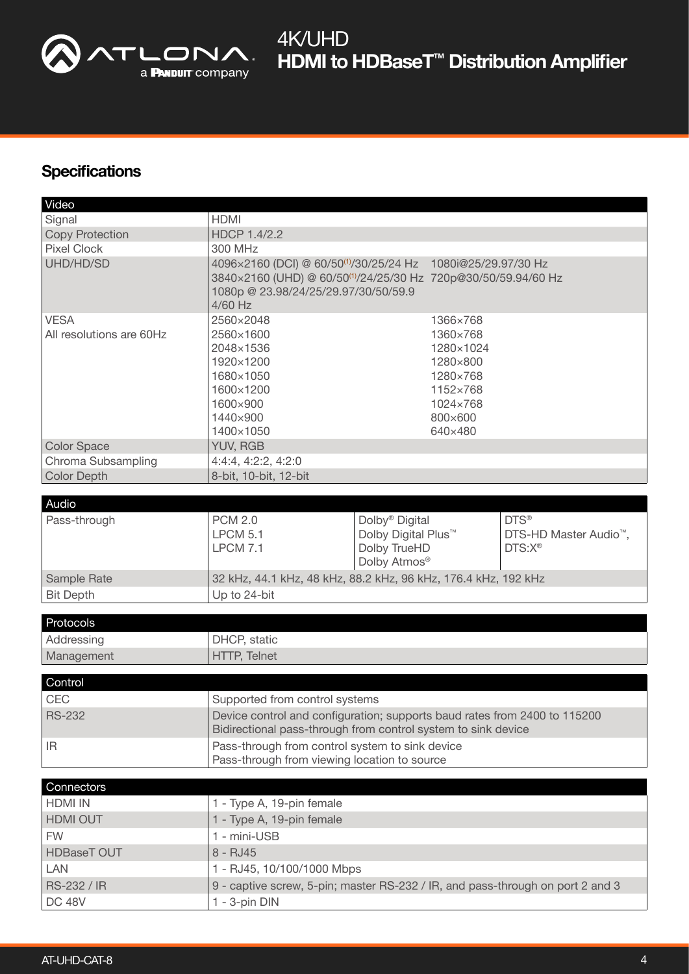

## **Specifications**

| Video                                   |                                                                                                                                                                                                                            |                                                                                               |                                                                  |  |  |
|-----------------------------------------|----------------------------------------------------------------------------------------------------------------------------------------------------------------------------------------------------------------------------|-----------------------------------------------------------------------------------------------|------------------------------------------------------------------|--|--|
| Signal                                  | <b>HDMI</b>                                                                                                                                                                                                                |                                                                                               |                                                                  |  |  |
| <b>Copy Protection</b>                  | <b>HDCP 1.4/2.2</b>                                                                                                                                                                                                        |                                                                                               |                                                                  |  |  |
| <b>Pixel Clock</b>                      | 300 MHz                                                                                                                                                                                                                    |                                                                                               |                                                                  |  |  |
| UHD/HD/SD                               | 4096×2160 (DCI) @ 60/50 <sup>(1)</sup> /30/25/24 Hz 1080i@25/29.97/30 Hz<br>3840×2160 (UHD) @ 60/50 <sup>(1)</sup> /24/25/30 Hz 720p@30/50/59.94/60 Hz<br>1080p @ 23.98/24/25/29.97/30/50/59.9<br>4/60 Hz                  |                                                                                               |                                                                  |  |  |
| <b>VESA</b><br>All resolutions are 60Hz | 2560×2048<br>1366×768<br>2560×1600<br>1360×768<br>2048×1536<br>1280×1024<br>1920×1200<br>1280×800<br>1680×1050<br>1280×768<br>1600×1200<br>1152×768<br>1600×900<br>1024×768<br>1440×900<br>800×600<br>1400×1050<br>640×480 |                                                                                               |                                                                  |  |  |
| <b>Color Space</b>                      | <b>YUV, RGB</b>                                                                                                                                                                                                            |                                                                                               |                                                                  |  |  |
| Chroma Subsampling                      | 4:4:4, 4:2:2, 4:2:0                                                                                                                                                                                                        |                                                                                               |                                                                  |  |  |
| <b>Color Depth</b>                      | 8-bit, 10-bit, 12-bit                                                                                                                                                                                                      |                                                                                               |                                                                  |  |  |
|                                         |                                                                                                                                                                                                                            |                                                                                               |                                                                  |  |  |
| Audio                                   |                                                                                                                                                                                                                            |                                                                                               |                                                                  |  |  |
| Pass-through                            | <b>PCM 2.0</b><br><b>LPCM 5.1</b><br><b>LPCM 7.1</b>                                                                                                                                                                       | Dolby <sup>®</sup> Digital<br>Dolby Digital Plus <sup>™</sup><br>Dolby TrueHD<br>Dolby Atmos® | DTS®<br>DTS-HD Master Audio <sup>™</sup> ,<br>DTS:X <sup>®</sup> |  |  |
| Sample Rate                             | 32 kHz, 44.1 kHz, 48 kHz, 88.2 kHz, 96 kHz, 176.4 kHz, 192 kHz                                                                                                                                                             |                                                                                               |                                                                  |  |  |
| <b>Bit Depth</b>                        | Up to 24-bit                                                                                                                                                                                                               |                                                                                               |                                                                  |  |  |
|                                         |                                                                                                                                                                                                                            |                                                                                               |                                                                  |  |  |
| Protocols                               |                                                                                                                                                                                                                            |                                                                                               |                                                                  |  |  |
| Addressing                              | DHCP, static                                                                                                                                                                                                               |                                                                                               |                                                                  |  |  |
| Management                              | <b>HTTP, Telnet</b>                                                                                                                                                                                                        |                                                                                               |                                                                  |  |  |
|                                         |                                                                                                                                                                                                                            |                                                                                               |                                                                  |  |  |
| Control                                 |                                                                                                                                                                                                                            |                                                                                               |                                                                  |  |  |
| CEC                                     | Supported from control systems                                                                                                                                                                                             |                                                                                               |                                                                  |  |  |
| <b>RS-232</b>                           | Device control and configuration; supports baud rates from 2400 to 115200<br>Bidirectional pass-through from control system to sink device                                                                                 |                                                                                               |                                                                  |  |  |
| IR.                                     | Pass-through from control system to sink device<br>Pass-through from viewing location to source                                                                                                                            |                                                                                               |                                                                  |  |  |
|                                         |                                                                                                                                                                                                                            |                                                                                               |                                                                  |  |  |
| Connectors                              |                                                                                                                                                                                                                            |                                                                                               |                                                                  |  |  |
| <b>HDMI IN</b>                          | 1 - Type A, 19-pin female                                                                                                                                                                                                  |                                                                                               |                                                                  |  |  |
| <b>HDMI OUT</b>                         | 1 - Type A, 19-pin female                                                                                                                                                                                                  |                                                                                               |                                                                  |  |  |
| <b>FW</b>                               | 1 - mini-USB                                                                                                                                                                                                               |                                                                                               |                                                                  |  |  |
| <b>HDBaseT OUT</b>                      | 8 - RJ45                                                                                                                                                                                                                   |                                                                                               |                                                                  |  |  |
| <b>LAN</b>                              | 1 - RJ45, 10/100/1000 Mbps                                                                                                                                                                                                 |                                                                                               |                                                                  |  |  |
| RS-232 / IR                             | 9 - captive screw, 5-pin; master RS-232 / IR, and pass-through on port 2 and 3                                                                                                                                             |                                                                                               |                                                                  |  |  |
| <b>DC 48V</b>                           | 1 - 3-pin DIN                                                                                                                                                                                                              |                                                                                               |                                                                  |  |  |
|                                         |                                                                                                                                                                                                                            |                                                                                               |                                                                  |  |  |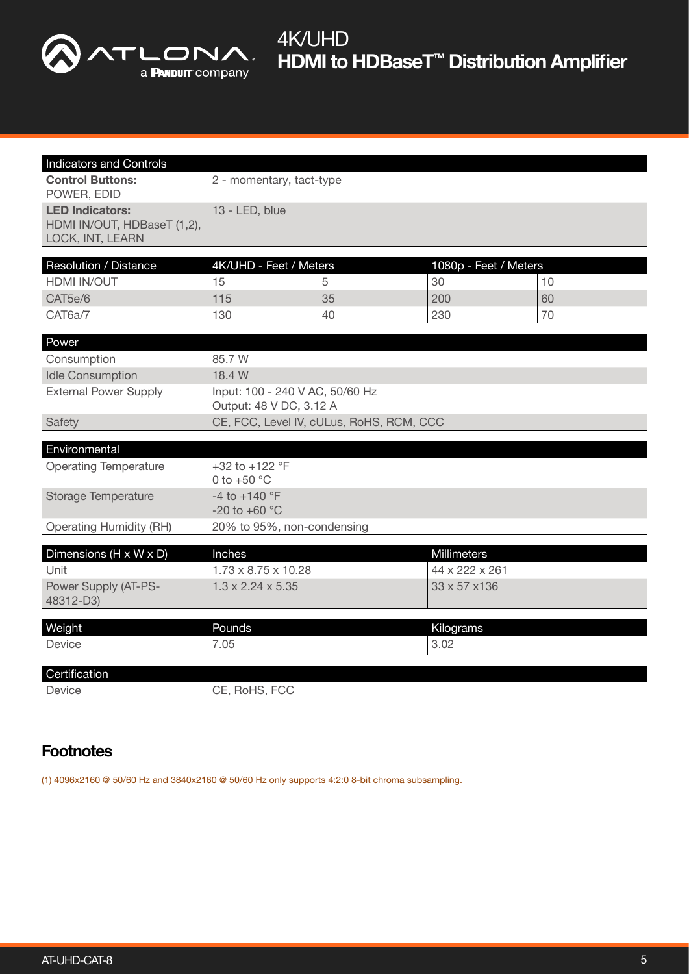

# **HDMI to HDBaseT<sup>™</sup> Distribution Amplifier** 4K/UHD

| <b>Indicators and Controls</b>                                            |                                                            |    |                       |    |  |  |
|---------------------------------------------------------------------------|------------------------------------------------------------|----|-----------------------|----|--|--|
| <b>Control Buttons:</b><br>POWER, EDID                                    | 2 - momentary, tact-type                                   |    |                       |    |  |  |
| <b>LED Indicators:</b><br>HDMI IN/OUT, HDBaseT (1,2),<br>LOCK, INT, LEARN | 13 - LED, blue                                             |    |                       |    |  |  |
| Resolution / Distance                                                     | 4K/UHD - Feet / Meters                                     |    | 1080p - Feet / Meters |    |  |  |
| <b>HDMI IN/OUT</b>                                                        | 15                                                         | 5  | 30                    | 10 |  |  |
| CAT5e/6                                                                   | 115                                                        | 35 | 200                   | 60 |  |  |
| CAT6a/7                                                                   | 130                                                        | 40 | 230                   | 70 |  |  |
| Power                                                                     |                                                            |    |                       |    |  |  |
| Consumption                                                               | 85.7 W                                                     |    |                       |    |  |  |
| <b>Idle Consumption</b>                                                   | 18.4 W                                                     |    |                       |    |  |  |
| <b>External Power Supply</b>                                              | Input: 100 - 240 V AC, 50/60 Hz<br>Output: 48 V DC, 3.12 A |    |                       |    |  |  |
| Safety                                                                    | CE, FCC, Level IV, cULus, RoHS, RCM, CCC                   |    |                       |    |  |  |
| Environmental                                                             |                                                            |    |                       |    |  |  |
| <b>Operating Temperature</b>                                              | +32 to +122 $^{\circ}$ F<br>0 to $+50$ °C                  |    |                       |    |  |  |
| <b>Storage Temperature</b>                                                | $-4$ to $+140$ °F<br>-20 to +60 $^{\circ}$ C               |    |                       |    |  |  |
| <b>Operating Humidity (RH)</b>                                            | 20% to 95%, non-condensing                                 |    |                       |    |  |  |
| Dimensions (H x W x D)                                                    | Inches                                                     |    | <b>Millimeters</b>    |    |  |  |
| Unit                                                                      | $1.73 \times 8.75 \times 10.28$                            |    | 44 x 222 x 261        |    |  |  |
| Power Supply (AT-PS-<br>48312-D3)                                         | $1.3 \times 2.24 \times 5.35$                              |    | 33 x 57 x 136         |    |  |  |
| Weight                                                                    | Pounds                                                     |    | Kilograms             |    |  |  |
| Device                                                                    | 7.05                                                       |    | 3.02                  |    |  |  |
|                                                                           |                                                            |    |                       |    |  |  |
| Certification                                                             |                                                            |    |                       |    |  |  |
| Device                                                                    | CE, RoHS, FCC                                              |    |                       |    |  |  |

# **Footnotes**

(1) 4096x2160 @ 50/60 Hz and 3840x2160 @ 50/60 Hz only supports 4:2:0 8-bit chroma subsampling.